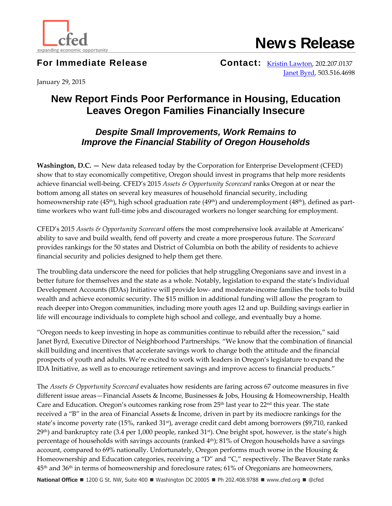

**News Release**

**For Immediate Release Contact: [Kristin Lawton,](mailto:klawton@cfed.org) 202.207.0137** [Janet Byrd,](mailto:jbyrd@neighborhoodpartnerships.org) 503.516.4698

January 29, 2015

## **New Report Finds Poor Performance in Housing, Education Leaves Oregon Families Financially Insecure**

## *Despite Small Improvements, Work Remains to Improve the Financial Stability of Oregon Households*

**Washington, D.C. —** New data released today by the Corporation for Enterprise Development (CFED) show that to stay economically competitive, Oregon should invest in programs that help more residents achieve financial well-being. CFED's 2015 *Assets & Opportunity Scorecard* ranks Oregon at or near the bottom among all states on several key measures of household financial security, including homeownership rate (45<sup>th</sup>), high school graduation rate (49<sup>th</sup>) and underemployment (48<sup>th</sup>), defined as parttime workers who want full-time jobs and discouraged workers no longer searching for employment.

CFED's 2015 *Assets & Opportunity Scorecard* offers the most comprehensive look available at Americans' ability to save and build wealth, fend off poverty and create a more prosperous future. The *Scorecard* provides rankings for the 50 states and District of Columbia on both the ability of residents to achieve financial security and policies designed to help them get there.

The troubling data underscore the need for policies that help struggling Oregonians save and invest in a better future for themselves and the state as a whole. Notably, legislation to expand the state's Individual Development Accounts (IDAs) Initiative will provide low- and moderate-income families the tools to build wealth and achieve economic security. The \$15 million in additional funding will allow the program to reach deeper into Oregon communities, including more youth ages 12 and up. Building savings earlier in life will encourage individuals to complete high school and college, and eventually buy a home.

"Oregon needs to keep investing in hope as communities continue to rebuild after the recession," said Janet Byrd, Executive Director of Neighborhood Partnerships. "We know that the combination of financial skill building and incentives that accelerate savings work to change both the attitude and the financial prospects of youth and adults. We're excited to work with leaders in Oregon's legislature to expand the IDA Initiative, as well as to encourage retirement savings and improve access to financial products."

The *Assets & Opportunity Scorecard* evaluates how residents are faring across 67 outcome measures in five different issue areas—Financial Assets & Income, Businesses & Jobs, Housing & Homeownership, Health Care and Education. Oregon's outcomes ranking rose from  $25<sup>th</sup>$  last year to  $22<sup>nd</sup>$  this year. The state received a "B" in the area of Financial Assets & Income, driven in part by its mediocre rankings for the state's income poverty rate (15%, ranked 31st), average credit card debt among borrowers (\$9,710, ranked 29<sup>th</sup>) and bankruptcy rate (3.4 per 1,000 people, ranked 31<sup>st</sup>). One bright spot, however, is the state's high percentage of households with savings accounts (ranked  $4<sup>th</sup>$ ); 81% of Oregon households have a savings account, compared to 69% nationally. Unfortunately, Oregon performs much worse in the Housing & Homeownership and Education categories, receiving a "D" and "C," respectively. The Beaver State ranks  $45<sup>th</sup>$  and  $36<sup>th</sup>$  in terms of homeownership and foreclosure rates; 61% of Oregonians are homeowners,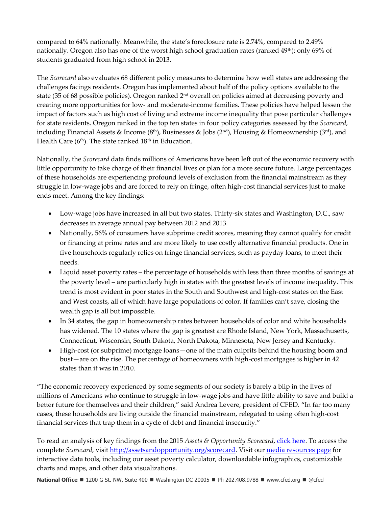compared to 64% nationally. Meanwhile, the state's foreclosure rate is 2.74%, compared to 2.49% nationally. Oregon also has one of the worst high school graduation rates (ranked 49<sup>th</sup>); only 69% of students graduated from high school in 2013.

The *Scorecard* also evaluates 68 different policy measures to determine how well states are addressing the challenges facings residents. Oregon has implemented about half of the policy options available to the state (35 of 68 possible policies). Oregon ranked 2nd overall on policies aimed at decreasing poverty and creating more opportunities for low- and moderate-income families. These policies have helped lessen the impact of factors such as high cost of living and extreme income inequality that pose particular challenges for state residents. Oregon ranked in the top ten states in four policy categories assessed by the *Scorecard*, including Financial Assets & Income (8<sup>th</sup>), Businesses & Jobs (2<sup>nd</sup>), Housing & Homeownership (3<sup>rd</sup>), and Health Care ( $6<sup>th</sup>$ ). The state ranked  $18<sup>th</sup>$  in Education.

Nationally, the *Scorecard* data finds millions of Americans have been left out of the economic recovery with little opportunity to take charge of their financial lives or plan for a more secure future. Large percentages of these households are experiencing profound levels of exclusion from the financial mainstream as they struggle in low-wage jobs and are forced to rely on fringe, often high-cost financial services just to make ends meet. Among the key findings:

- Low-wage jobs have increased in all but two states. Thirty-six states and Washington, D.C., saw decreases in average annual pay between 2012 and 2013.
- Nationally, 56% of consumers have subprime credit scores, meaning they cannot qualify for credit or financing at prime rates and are more likely to use costly alternative financial products. One in five households regularly relies on fringe financial services, such as payday loans, to meet their needs.
- Liquid asset poverty rates the percentage of households with less than three months of savings at the poverty level – are particularly high in states with the greatest levels of income inequality. This trend is most evident in poor states in the South and Southwest and high-cost states on the East and West coasts, all of which have large populations of color. If families can't save, closing the wealth gap is all but impossible.
- In 34 states, the gap in homeownership rates between households of color and white households has widened. The 10 states where the gap is greatest are Rhode Island, New York, Massachusetts, Connecticut, Wisconsin, South Dakota, North Dakota, Minnesota, New Jersey and Kentucky.
- High-cost (or subprime) mortgage loans—one of the main culprits behind the housing boom and bust—are on the rise. The percentage of homeowners with high-cost mortgages is higher in 42 states than it was in 2010.

"The economic recovery experienced by some segments of our society is barely a blip in the lives of millions of Americans who continue to struggle in low-wage jobs and have little ability to save and build a better future for themselves and their children," said Andrea Levere, president of CFED. "In far too many cases, these households are living outside the financial mainstream, relegated to using often high-cost financial services that trap them in a cycle of debt and financial insecurity."

To read an analysis of key findings from the 2015 *Assets & Opportunity Scorecard*[, click here.](http://assetsandopportunity.org/assets/pdf/2015_Scorecard_Report.pdf) To access the complete *Scorecard*, visi[t http://assetsandopportunity.org/scorecard.](http://assetsandopportunity.org/scorecard) Visit our [media resources page](http://assetsandopportunity.org/scorecard/newsroom/media_resources/) for interactive data tools, including our asset poverty calculator, downloadable infographics, customizable charts and maps, and other data visualizations.